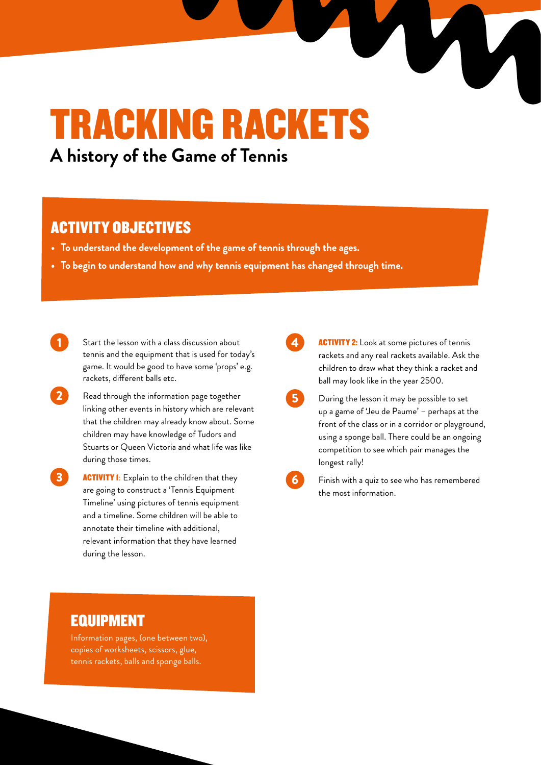# TRACKING RACKETS

**A history of the Game of Tennis**

#### ACTIVITY OBJECTIVES

- **• To understand the development of the game of tennis through the ages.**
- **• To begin to understand how and why tennis equipment has changed through time.**

Start the lesson with a class discussion about tennis and the equipment that is used for today's game. It would be good to have some 'props' e.g. rackets, different balls etc.

2 Read through the information page together linking other events in history which are relevant that the children may already know about. Some children may have knowledge of Tudors and Stuarts or Queen Victoria and what life was like during those times.

**3 ACTIVITY 1:** Explain to the children that they are going to construct a 'Tennis Equipment Timeline' using pictures of tennis equipment and a timeline. Some children will be able to annotate their timeline with additional, relevant information that they have learned during the lesson.

**ACTIVITY 2:** Look at some pictures of tennis rackets and any real rackets available. Ask the children to draw what they think a racket and ball may look like in the year 2500.

- During the lesson it may be possible to set up a game of 'Jeu de Paume' – perhaps at the front of the class or in a corridor or playground, using a sponge ball. There could be an ongoing competition to see which pair manages the longest rally!
	- Finish with a quiz to see who has remembered the most information.

#### EQUIPMENT

Information pages, (one between two), copies of worksheets, scissors, glue, tennis rackets, balls and sponge balls.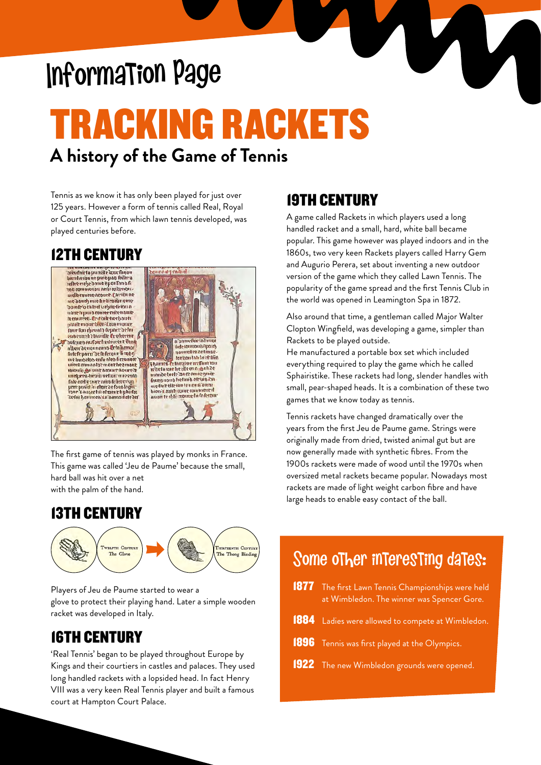## Information Page

### TRACKING RACKETS **A history of the Game of Tennis**

Tennis as we know it has only been played for just over 125 years. However a form of tennis called Real, Royal or Court Tennis, from which lawn tennis developed, was played centuries before.

#### 12TH CENTURY



The first game of tennis was played by monks in France. This game was called 'Jeu de Paume' because the small, hard ball was hit over a net with the palm of the hand.

#### 13TH CENTURY



Players of Jeu de Paume started to wear a glove to protect their playing hand. Later a simple wooden racket was developed in Italy.

#### 16TH CENTURY

'Real Tennis' began to be played throughout Europe by Kings and their courtiers in castles and palaces. They used long handled rackets with a lopsided head. In fact Henry VIII was a very keen Real Tennis player and built a famous court at Hampton Court Palace.

#### 19TH CENTURY

A game called Rackets in which players used a long handled racket and a small, hard, white ball became popular. This game however was played indoors and in the 1860s, two very keen Rackets players called Harry Gem and Augurio Perera, set about inventing a new outdoor version of the game which they called Lawn Tennis. The popularity of the game spread and the first Tennis Club in the world was opened in Leamington Spa in 1872.

Also around that time, a gentleman called Major Walter Clopton Wingfield, was developing a game, simpler than Rackets to be played outside.

He manufactured a portable box set which included everything required to play the game which he called Sphairistike. These rackets had long, slender handles with small, pear-shaped heads. It is a combination of these two games that we know today as tennis.

Tennis rackets have changed dramatically over the years from the first Jeu de Paume game. Strings were originally made from dried, twisted animal gut but are now generally made with synthetic fibres. From the 1900s rackets were made of wood until the 1970s when oversized metal rackets became popular. Nowadays most rackets are made of light weight carbon fibre and have large heads to enable easy contact of the ball.

### Some other interesting dates:

 The first Lawn Tennis Championships were held at Wimbledon. The winner was Spencer Gore. Ladies were allowed to compete at Wimbledon. Tennis was first played at the Olympics. The new Wimbledon grounds were opened.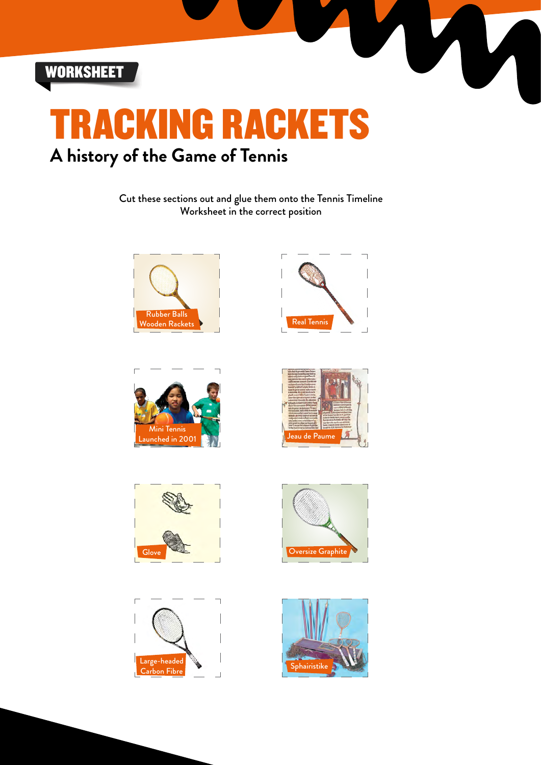



Cut these sections out and glue them onto the Tennis Timeline Worksheet in the correct position















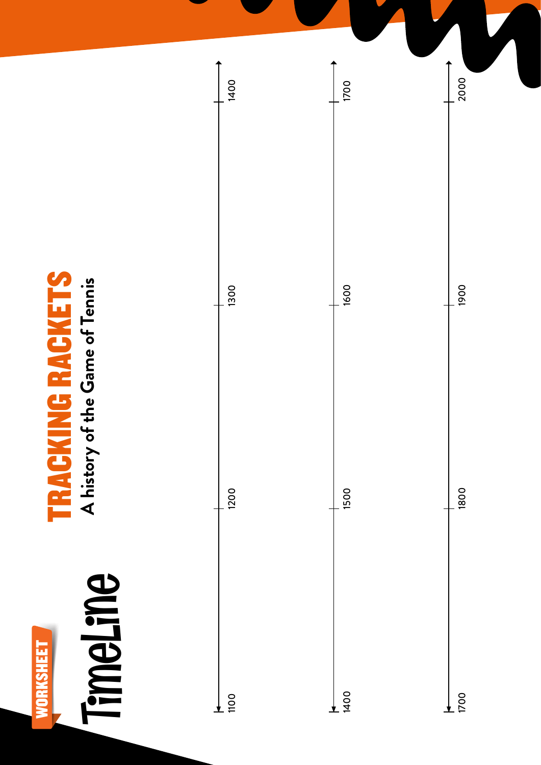